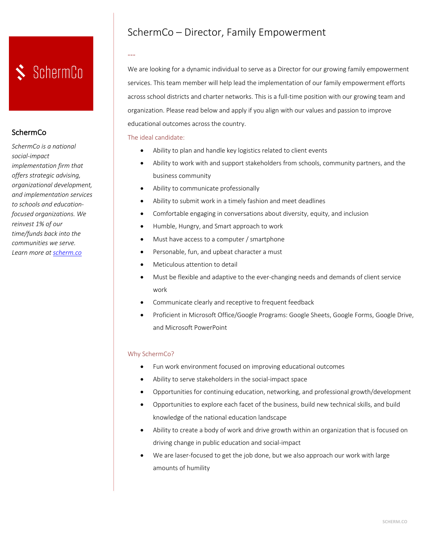# SchermCo

### **SchermCo**

*SchermCo is a national social-impact implementation firm that offers strategic advising, organizational development, and implementation services to schools and educationfocused organizations. We reinvest 1% of our time/funds back into the communities we serve. Learn more at scherm.co*

## SchermCo – Director, Family Empowerment

## We are looking for a dynamic individual to serve as a Director for our growing family empowerment services. This team member will help lead the implementation of our family empowerment efforts across school districts and charter networks. This is a full-time position with our growing team and organization. Please read below and apply if you align with our values and passion to improve educational outcomes across the country.

### The ideal candidate:

---

- Ability to plan and handle key logistics related to client events
- Ability to work with and support stakeholders from schools, community partners, and the business community
- Ability to communicate professionally
- Ability to submit work in a timely fashion and meet deadlines
- Comfortable engaging in conversations about diversity, equity, and inclusion
- Humble, Hungry, and Smart approach to work
- Must have access to a computer / smartphone
- Personable, fun, and upbeat character a must
- Meticulous attention to detail
- Must be flexible and adaptive to the ever-changing needs and demands of client service work
- Communicate clearly and receptive to frequent feedback
- Proficient in Microsoft Office/Google Programs: Google Sheets, Google Forms, Google Drive, and Microsoft PowerPoint

### Why SchermCo?

- Fun work environment focused on improving educational outcomes
- Ability to serve stakeholders in the social-impact space
- Opportunities for continuing education, networking, and professional growth/development
- Opportunities to explore each facet of the business, build new technical skills, and build knowledge of the national education landscape
- Ability to create a body of work and drive growth within an organization that is focused on driving change in public education and social-impact
- We are laser-focused to get the job done, but we also approach our work with large amounts of humility